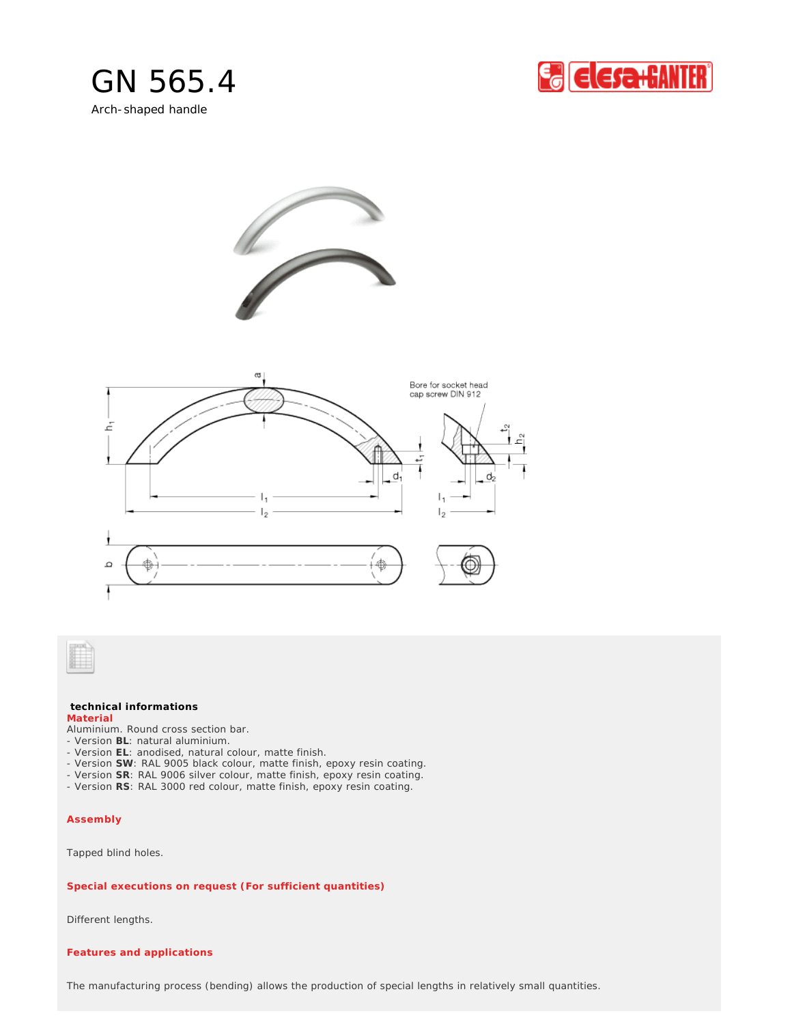









## **technical informations Material**

Aluminium. Round cross section bar.

- Version **BL**: natural aluminium.
- Version **EL**: anodised, natural colour, matte finish. - Version **SW**: RAL 9005 black colour, matte finish, epoxy resin coating.
- Version **SR**: RAL 9006 silver colour, matte finish, epoxy resin coating.
- Version **RS**: RAL 3000 red colour, matte finish, epoxy resin coating.

## **Assembly**

Tapped blind holes.

## *Special executions on request (For sufficient quantities)*

Different lengths.

## *Features and applications*

The manufacturing process (bending) allows the production of special lengths in relatively small quantities.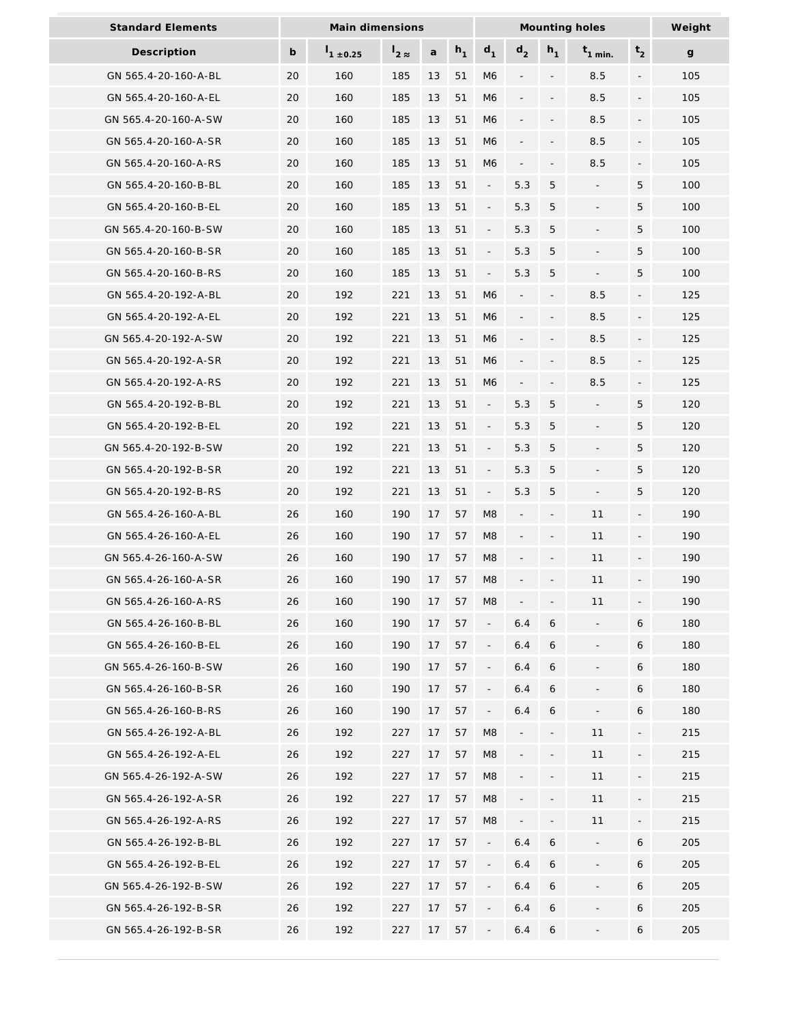| <b>Standard Elements</b> | Main dimensions |                  |      |    |       | Mounting holes           |                              |                          |                          |                          | Weight       |
|--------------------------|-----------------|------------------|------|----|-------|--------------------------|------------------------------|--------------------------|--------------------------|--------------------------|--------------|
| Description              | b               | $1_{1 \pm 0.25}$ | ່2 ≈ | a  | $h_1$ | $d_1$                    | d <sub>2</sub>               | $h_1$                    | $t_{1}$ min.             | t <sub>2</sub>           | $\mathbf{g}$ |
| GN 565.4-20-160-A-BL     | 20              | 160              | 185  | 13 | 51    | M6                       |                              |                          | 8.5                      | $\overline{a}$           | 105          |
| GN 565.4-20-160-A-EL     | 20              | 160              | 185  | 13 | 51    | M <sub>6</sub>           |                              |                          | 8.5                      | $\overline{\phantom{a}}$ | 105          |
| GN 565.4-20-160-A-SW     | 20              | 160              | 185  | 13 | 51    | M <sub>6</sub>           |                              |                          | 8.5                      | $\overline{a}$           | 105          |
| GN 565.4-20-160-A-SR     | 20              | 160              | 185  | 13 | 51    | M <sub>6</sub>           | $\overline{\phantom{0}}$     | $\overline{\phantom{a}}$ | 8.5                      | $\overline{\phantom{a}}$ | 105          |
| GN 565.4-20-160-A-RS     | 20              | 160              | 185  | 13 | 51    | M <sub>6</sub>           | $\qquad \qquad \blacksquare$ | $\overline{\phantom{a}}$ | 8.5                      | $\overline{\phantom{a}}$ | 105          |
| GN 565.4-20-160-B-BL     | 20              | 160              | 185  | 13 | 51    | $\overline{\phantom{a}}$ | 5.3                          | 5                        |                          | 5                        | 100          |
| GN 565.4-20-160-B-EL     | 20              | 160              | 185  | 13 | 51    | $\overline{\phantom{a}}$ | 5.3                          | 5                        |                          | 5                        | 100          |
| GN 565.4-20-160-B-SW     | 20              | 160              | 185  | 13 | 51    | $\blacksquare$           | 5.3                          | 5                        |                          | 5                        | 100          |
| GN 565.4-20-160-B-SR     | 20              | 160              | 185  | 13 | 51    | $\Box$                   | 5.3                          | 5                        | $\overline{\phantom{a}}$ | 5                        | 100          |
| GN 565.4-20-160-B-RS     | 20              | 160              | 185  | 13 | 51    | $\overline{\phantom{a}}$ | 5.3                          | 5                        | $\overline{\phantom{m}}$ | 5                        | 100          |
| GN 565.4-20-192-A-BL     | 20              | 192              | 221  | 13 | 51    | M <sub>6</sub>           |                              | $\overline{\phantom{a}}$ | 8.5                      | $\overline{\phantom{a}}$ | 125          |
| GN 565.4-20-192-A-EL     | 20              | 192              | 221  | 13 | 51    | M <sub>6</sub>           |                              |                          | 8.5                      |                          | 125          |
| GN 565.4-20-192-A-SW     | 20              | 192              | 221  | 13 | 51    | M <sub>6</sub>           |                              |                          | 8.5                      |                          | 125          |
| GN 565.4-20-192-A-SR     | 20              | 192              | 221  | 13 | 51    | M <sub>6</sub>           |                              |                          | 8.5                      | $\overline{a}$           | 125          |
| GN 565.4-20-192-A-RS     | 20              | 192              | 221  | 13 | 51    | M <sub>6</sub>           | $\qquad \qquad \blacksquare$ | $\overline{\phantom{a}}$ | 8.5                      | $\overline{\phantom{a}}$ | 125          |
| GN 565.4-20-192-B-BL     | 20              | 192              | 221  | 13 | 51    | $\overline{\phantom{a}}$ | 5.3                          | 5                        | $\overline{\phantom{a}}$ | 5                        | 120          |
| GN 565.4-20-192-B-EL     | 20              | 192              | 221  | 13 | 51    | $\overline{\phantom{a}}$ | 5.3                          | 5                        |                          | 5                        | 120          |
| GN 565.4-20-192-B-SW     | 20              | 192              | 221  | 13 | 51    | $\blacksquare$           | 5.3                          | $\overline{5}$           |                          | 5                        | 120          |
| GN 565.4-20-192-B-SR     | 20              | 192              | 221  | 13 | 51    | $\overline{\phantom{a}}$ | 5.3                          | 5                        |                          | 5                        | 120          |
| GN 565.4-20-192-B-RS     | 20              | 192              | 221  | 13 | 51    | $\Box$                   | 5.3                          | 5                        | $\overline{\phantom{a}}$ | 5                        | 120          |
| GN 565.4-26-160-A-BL     | 26              | 160              | 190  | 17 | 57    | M <sub>8</sub>           | $\overline{\phantom{0}}$     | $\overline{\phantom{a}}$ | 11                       | $\overline{\phantom{a}}$ | 190          |
| GN 565.4-26-160-A-EL     | 26              | 160              | 190  | 17 | 57    | M8                       |                              | $\overline{\phantom{a}}$ | 11                       | $\overline{\phantom{a}}$ | 190          |
| GN 565.4-26-160-A-SW     | 26              | 160              | 190  | 17 | 57    | M <sub>8</sub>           |                              |                          | 11                       | $\overline{a}$           | 190          |
| GN 565.4-26-160-A-SR     | 26              | 160              | 190  | 17 | 57    | M8                       |                              |                          | 11                       |                          | 190          |
| GN 565.4-26-160-A-RS     | 26              | 160              | 190  | 17 | 57    | M8                       |                              |                          | 11                       | $\overline{a}$           | 190          |
| GN 565.4-26-160-B-BL     | 26              | 160              | 190  | 17 | 57    | $\overline{\phantom{a}}$ | 6.4                          | 6                        | $\overline{\phantom{a}}$ | 6                        | 180          |
| GN 565.4-26-160-B-EL     | 26              | 160              | 190  | 17 | 57    | $\overline{\phantom{a}}$ | 6.4                          | 6                        | $\overline{\phantom{a}}$ | 6                        | 180          |
| GN 565.4-26-160-B-SW     | 26              | 160              | 190  | 17 | 57    | $\overline{\phantom{a}}$ | 6.4                          | 6                        |                          | 6                        | 180          |
| GN 565.4-26-160-B-SR     | 26              | 160              | 190  | 17 | 57    | $\overline{\phantom{a}}$ | 6.4                          | 6                        |                          | 6                        | 180          |
| GN 565.4-26-160-B-RS     | 26              | 160              | 190  | 17 | 57    | $\overline{\phantom{a}}$ | 6.4                          | 6                        |                          | 6                        | 180          |
| GN 565.4-26-192-A-BL     | 26              | 192              | 227  | 17 | 57    | M <sub>8</sub>           |                              |                          | 11                       | $\overline{\phantom{a}}$ | 215          |
| GN 565.4-26-192-A-EL     | 26              | 192              | 227  | 17 | 57    | M8                       |                              | $\overline{\phantom{a}}$ | 11                       | $\blacksquare$           | 215          |
| GN 565.4-26-192-A-SW     | 26              | 192              | 227  | 17 | 57    | M8                       |                              |                          | 11                       | $\overline{\phantom{a}}$ | 215          |
| GN 565.4-26-192-A-SR     | 26              | 192              | 227  | 17 | 57    | M <sub>8</sub>           |                              |                          | 11                       |                          | 215          |
| GN 565.4-26-192-A-RS     | 26              | 192              | 227  | 17 | 57    | M8                       |                              |                          | 11                       |                          | 215          |
| GN 565.4-26-192-B-BL     | 26              | 192              | 227  | 17 | 57    | $\overline{\phantom{a}}$ | 6.4                          | 6                        | $\blacksquare$           | 6                        | 205          |
| GN 565.4-26-192-B-EL     | 26              | 192              | 227  | 17 | 57    | $\Box$                   | 6.4                          | 6                        | $\overline{\phantom{a}}$ | 6                        | 205          |
| GN 565.4-26-192-B-SW     | 26              | 192              | 227  | 17 | 57    | $\overline{\phantom{a}}$ | 6.4                          | 6                        |                          | 6                        | 205          |
| GN 565.4-26-192-B-SR     | 26              | 192              | 227  | 17 | 57    | $\overline{\phantom{a}}$ | 6.4                          | 6                        |                          | 6                        | 205          |
| GN 565.4-26-192-B-SR     | 26              | 192              | 227  | 17 | 57    |                          | 6.4                          | 6                        |                          | 6                        | 205          |